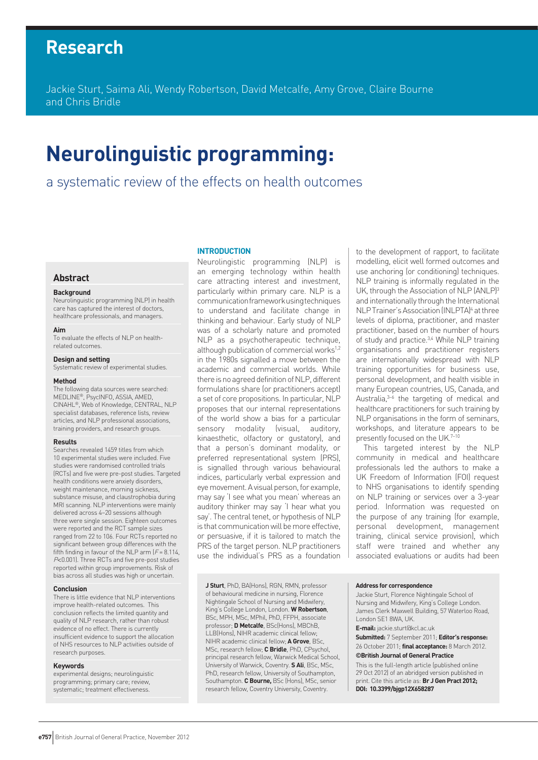# **Research**

Jackie Sturt, Saima Ali, Wendy Robertson, David Metcalfe, Amy Grove, Claire Bourne and Chris Bridle

# **Neurolinguistic programming:**

a systematic review of the effects on health outcomes

# **Abstract**

#### **Background**

Neurolinguistic programming (NLP) in health care has captured the interest of doctors, healthcare professionals, and managers.

#### **Aim**

To evaluate the effects of NLP on healthrelated outcomes.

# **Design and setting**

Systematic review of experimental studies.

#### **Method**

The following data sources were searched: MEDLINE®, PsycINFO, ASSIA, AMED, CINAHL®, Web of Knowledge, CENTRAL, NLP specialist databases, reference lists, review articles, and NLP professional associations, training providers, and research groups.

#### **Results**

Searches revealed 1459 titles from which 10 experimental studies were included. Five studies were randomised controlled trials (RCTs) and five were pre-post studies. Targeted health conditions were anxiety disorders, weight maintenance, morning sickness, substance misuse, and claustrophobia during MRI scanning. NLP interventions were mainly delivered across 4–20 sessions although three were single session. Eighteen outcomes were reported and the RCT sample sizes ranged from 22 to 106. Four RCTs reported no significant between group differences with the fifth finding in favour of the NLP arm  $(F = 8.114)$ . P<0.001). Three RCTs and five pre-post studies reported within group improvements. Risk of bias across all studies was high or uncertain.

#### **Conclusion**

There is little evidence that NLP interventions improve health-related outcomes. This conclusion reflects the limited quantity and quality of NLP research, rather than robust evidence of no effect. There is currently insufficient evidence to support the allocation of NHS resources to NLP activities outside of research purposes.

#### **Keywords**

experimental designs; neurolinguistic programming; primary care; review, systematic: treatment effectiveness

### **INTRODUCTION**

Neurolingistic programming (NLP) is an emerging technology within health care attracting interest and investment, particularly within primary care. NLP is a communication framework using techniques to understand and facilitate change in thinking and behaviour. Early study of NLP was of a scholarly nature and promoted NLP as a psychotherapeutic technique, although publication of commercial works<sup>1,2</sup> in the 1980s signalled a move between the academic and commercial worlds. While there is no agreed definition of NLP, different formulations share (or practitioners accept) a set of core propositions. In particular, NLP proposes that our internal representations of the world show a bias for a particular sensory modality (visual, auditory, kinaesthetic, olfactory or gustatory), and that a person's dominant modality, or preferred representational system (PRS), is signalled through various behavioural indices, particularly verbal expression and eye movement. A visual person, for example, may say 'I see what you mean' whereas an auditory thinker may say 'I hear what you say'. The central tenet, or hypothesis of NLP is that communication will be more effective, or persuasive, if it is tailored to match the PRS of the target person. NLP practitioners use the individual's PRS as a foundation

**J Sturt**, PhD, BA(Hons), RGN, RMN, professor of behavioural medicine in nursing, Florence Nightingale School of Nursing and Midwifery, King's College London, London. **W Robertson**, BSc, MPH, MSc, MPhil, PhD, FFPH, associate professor; **D Metcalfe**, BSc(Hons), MBChB, LLB(Hons), NIHR academic clinical fellow; NIHR academic clinical fellow; **A Grove**, BSc, MSc, research fellow; **C Bridle**, PhD, CPsychol, principal research fellow, Warwick Medical School, University of Warwick, Coventry. **S Ali**, BSc, MSc, PhD, research fellow, University of Southampton, Southampton. **C Bourne,** BSc (Hons), MSc, senior research fellow, Coventry University, Coventry.

to the development of rapport, to facilitate modelling, elicit well formed outcomes and use anchoring (or conditioning) techniques. NLP training is informally regulated in the UK, through the Association of NLP (ANLP)<sup>3</sup> and internationally through the International NLP Trainer's Association (INLPTA)<sup>4</sup> at three levels of diploma, practitioner, and master practitioner, based on the number of hours of study and practice.<sup>3,4</sup> While NLP training organisations and practitioner registers are internationally widespread with NLP training opportunities for business use, personal development, and health visible in many European countries, US, Canada, and Australia, $3-6$  the targeting of medical and healthcare practitioners for such training by NLP organisations in the form of seminars. workshops, and literature appears to be presently focused on the UK.7-10

This targeted interest by the NLP community in medical and healthcare professionals led the authors to make a UK Freedom of Information (FOI) request to NHS organisations to identify spending on NLP training or services over a 3-year period. Information was requested on the purpose of any training (for example, personal development, management training, clinical service provision), which staff were trained and whether any associated evaluations or audits had been

#### **Address for correspondence**

Jackie Sturt, Florence Nightingale School of Nursing and Midwifery, King's College London. James Clerk Maxwell Building, 57 Waterloo Road, London SE1 8WA, UK.

**E-mail:** jackie.sturt@kcl.ac.uk

**Submitted:** 7 September 2011; **Editor's response:** 26 October 2011; **final acceptance:** 8 March 2012.

#### **©British Journal of General Practice**

This is the full-length article (published online 29 Oct 2012) of an abridged version published in print. Cite this article as: **Br J Gen Pract 2012; DOI: 10.3399/bjgp12X658287**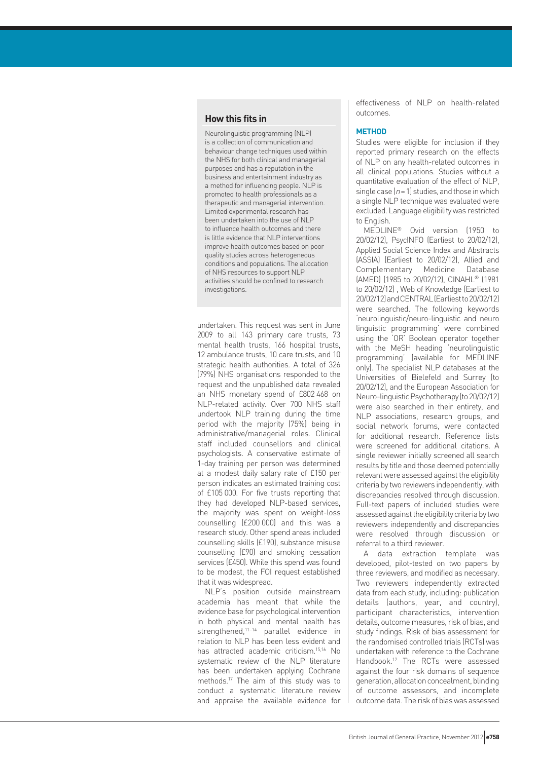# **How this fits in**

Neurolinguistic programming (NLP) is a collection of communication and behaviour change techniques used within the NHS for both clinical and managerial purposes and has a reputation in the business and entertainment industry as a method for influencing people. NLP is promoted to health professionals as a therapeutic and managerial intervention. Limited experimental research has been undertaken into the use of NLP to influence health outcomes and there is little evidence that NLP interventions improve health outcomes based on poor quality studies across heterogeneous conditions and populations. The allocation of NHS resources to support NLP activities should be confined to research investigations.

undertaken. This request was sent in June 2009 to all 143 primary care trusts, 73 mental health trusts, 166 hospital trusts, 12 ambulance trusts, 10 care trusts, and 10 strategic health authorities. A total of 326 (79%) NHS organisations responded to the request and the unpublished data revealed an NHS monetary spend of £802 468 on NLP-related activity. Over 700 NHS staff undertook NLP training during the time period with the majority (75%) being in administrative/managerial roles. Clinical staff included counsellors and clinical psychologists. A conservative estimate of 1-day training per person was determined at a modest daily salary rate of £150 per person indicates an estimated training cost of £105 000. For five trusts reporting that they had developed NLP-based services, the majority was spent on weight-loss counselling (£200 000) and this was a research study. Other spend areas included counselling skills (£190), substance misuse counselling (£90) and smoking cessation services (£450). While this spend was found to be modest, the FOI request established that it was widespread.

NLP's position outside mainstream academia has meant that while the evidence base for psychological intervention in both physical and mental health has strengthened,11–14 parallel evidence in relation to NLP has been less evident and has attracted academic criticism.15,16 No systematic review of the NLP literature has been undertaken applying Cochrane methods.17 The aim of this study was to conduct a systematic literature review and appraise the available evidence for effectiveness of NLP on health-related outcomes.

# **METHOD**

Studies were eligible for inclusion if they reported primary research on the effects of NLP on any health-related outcomes in all clinical populations. Studies without a quantitative evaluation of the effect of NLP, single case  $(n = 1)$  studies, and those in which a single NLP technique was evaluated were excluded. Language eligibility was restricted to English.

MEDLINE® Ovid version (1950 to 20/02/12), PsycINFO (Earliest to 20/02/12), Applied Social Science Index and Abstracts (ASSIA) (Earliest to 20/02/12), Allied and Complementary Medicine Database (AMED) (1985 to 20/02/12), CINAHL® (1981 to 20/02/12) , Web of Knowledge (Earliest to 20/02/12) and CENTRAL (Earliest to 20/02/12) were searched. The following keywords 'neurolinguistic/neuro-linguistic and neuro linguistic programming' were combined using the 'OR' Boolean operator together with the MeSH heading 'neurolinguistic programming' (available for MEDLINE only). The specialist NLP databases at the Universities of Bielefeld and Surrey (to 20/02/12), and the European Association for Neuro-linguistic Psychotherapy (to 20/02/12) were also searched in their entirety, and NLP associations, research groups, and social network forums, were contacted for additional research. Reference lists were screened for additional citations. A single reviewer initially screened all search results by title and those deemed potentially relevant were assessed against the eligibility criteria by two reviewers independently, with discrepancies resolved through discussion. Full-text papers of included studies were assessed against the eligibility criteria by two reviewers independently and discrepancies were resolved through discussion or referral to a third reviewer.

A data extraction template was developed, pilot-tested on two papers by three reviewers, and modified as necessary. Two reviewers independently extracted data from each study, including: publication details (authors, year, and country), participant characteristics, intervention details, outcome measures, risk of bias, and study findings. Risk of bias assessment for the randomised controlled trials (RCTs) was undertaken with reference to the Cochrane Handbook.17 The RCTs were assessed against the four risk domains of sequence generation, allocation concealment, blinding of outcome assessors, and incomplete outcome data. The risk of bias was assessed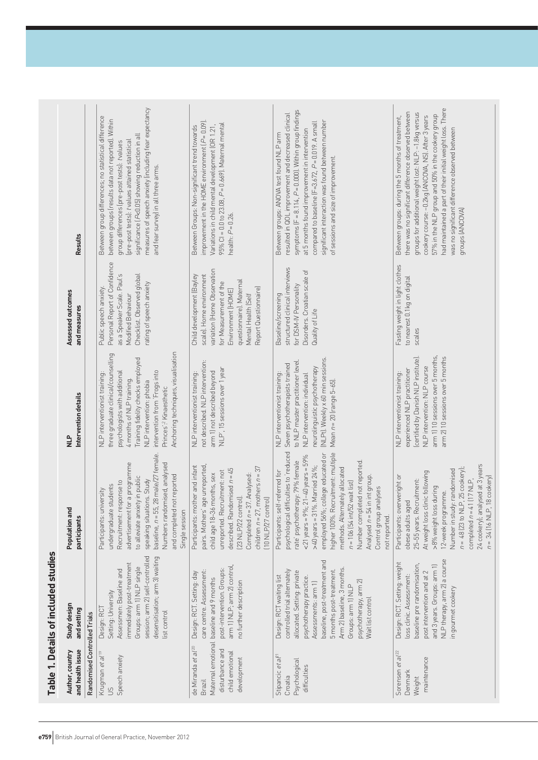| Randomised Controlled Trials<br>and health issue<br>Author, country                                                 | Study design<br>and setting                                                                                                                                                                                                                                                                             | Population and<br>participants                                                                                                                                                                                                                                                                                                                                                                                                                                     | Intervention details<br><u>n</u><br>N                                                                                                                                                                                                                                             | Assessed outcomes<br>and measures                                                                                                                                                                                | <b>Results</b>                                                                                                                                                                                                                                                                                                                                                                                                  |
|---------------------------------------------------------------------------------------------------------------------|---------------------------------------------------------------------------------------------------------------------------------------------------------------------------------------------------------------------------------------------------------------------------------------------------------|--------------------------------------------------------------------------------------------------------------------------------------------------------------------------------------------------------------------------------------------------------------------------------------------------------------------------------------------------------------------------------------------------------------------------------------------------------------------|-----------------------------------------------------------------------------------------------------------------------------------------------------------------------------------------------------------------------------------------------------------------------------------|------------------------------------------------------------------------------------------------------------------------------------------------------------------------------------------------------------------|-----------------------------------------------------------------------------------------------------------------------------------------------------------------------------------------------------------------------------------------------------------------------------------------------------------------------------------------------------------------------------------------------------------------|
| Krugman et al <sup>19</sup>                                                                                         | Design: RCT                                                                                                                                                                                                                                                                                             | Participants: university                                                                                                                                                                                                                                                                                                                                                                                                                                           | NLP interventionist training:                                                                                                                                                                                                                                                     | Public speech anxiety.                                                                                                                                                                                           | Between group differences; no statistical difference                                                                                                                                                                                                                                                                                                                                                            |
| Speech anxiety<br>$\overline{5}$                                                                                    | session; arm 2) self-controlled<br>desensitisation; arm 3) waiting<br>immediately post-treatment<br>Groups: arm 1) NLP single<br>Assessmen: Baseline and<br>Setting: University<br>list control                                                                                                         | 28 male/27 female.<br>advertisement for a programme<br>Numbers randomised, analysed<br>and completed not reported<br>to alleviate anxiety in public<br>speaking situations. Study<br>Recruitment: response to<br>undergraduate students<br>baseline, $n = 55$ ,<br>Single session                                                                                                                                                                                  | Anchoring techniques, visualisation<br>three graduate clinical/counselling<br>Training fidelity checks employed<br>psychologists with additional<br>intervention from 'Frogs into<br>4 months of NLP training.<br>NLP intervention: phobia<br>Princes': <sup>2</sup> Kinaesthetic | Personal Report of Confidence<br>as a Speaker Scale. Paul's<br>Checklist. Observed global<br>rating of speech anxiety<br>Modified Behaviour                                                                      | measures of speech anxiety lincluding fear expectancy<br>between groups (results data not reported). Within<br>significance (P<0.05) showing reduction in all<br>(pre-post tests): tvalues attained statistical<br>group differences (pre-post tests): tvalues<br>and fear survey) in all three arms.                                                                                                           |
| Maternal emotional<br>de Miranda et al <sup>20</sup><br>disturbance and<br>child emotional<br>development<br>Brazil | arm 1) NLP; arm 2) control,<br>post-intervention. Groups:<br>care centre. Assessment:<br>Design: RCT. Setting: day<br>baseline and 9 months<br>no further description                                                                                                                                   | Participants: mother and infant<br>pairs. Mothers' age unreported,<br>children $n = 27$ , mothers $n = 37$<br>described. Randomised $n = 45$<br>unreported. Recruitment: not<br>child age 18-36 months, sex<br>Completed $n = 37$ . Analysed:<br>[23 NLP/22 control].<br>[10 NLP/27 control]                                                                                                                                                                       | not described. NLP intervention:<br>NLP', 15 sessions over 1 year<br>arm 1) not described beyond<br>NLP interventionist training:                                                                                                                                                 | variation (Home Observation<br>Child development (Bayley<br>scale). Home environment<br>questionnaire). Maternal<br>for Measurement of the<br>Report Questionnaire)<br>Environment [HOME]<br>Mental Health (Self | improvement in the HOME environment $(P=0.09)$ .<br>95% CI = 0.0 to 23.08, P= 0.669). Maternal mental<br>Variations in child mental development (OR 1.21,<br>Between Groups: Non-significant trend towards<br>health: $P = 0.26$ .                                                                                                                                                                              |
| Stipancic et al <sup>21</sup><br>Psychological<br>difficulties<br>Croatia                                           | baseline, post-treatment and<br>Arm 2) baseline, 3 months.<br>5 months post-treatment.<br>controlled trial alternately<br>allocated. Setting: private<br>Design: RCT waiting list<br>psychotherapy practice.<br>psychotherapy, arm 2)<br>Assessments: arm 1)<br>Groups: arm 1) NLP<br>Wait list control | psychological difficulties to 'reduced<br>higher 100%. Recruitment: multiple<br>employed 56%; college educated or<br>$21 - 40$ years = 59%<br>rate' psychotherapy: 79% female<br>Number completed not reported.<br>>40 years = 31%. Married $24\%$ ;<br>methods. Alternately allocated<br>Participants: self-referred for<br>Analysed n = 54 in int group.<br>$n = 106$ (54 int/52 wait list)<br>Control group analyses<br>$<$ 21 years = $9\%$ ;<br>not reported. | (NLPt). Weekly x 60 min sessions.<br>to NLP master practitioner level.<br>Seven psychotherapists trained<br>neurolinguistic psychotherapy<br>NLP interventionist training:<br>NLP intervention: individual<br>Mean $n = 20$ (range $5-65$ ).                                      | structured clinical interviews<br>Disorders. Croatian scale of<br>for DSM-IV Personality<br>Baseline/screening<br>Quality of Life                                                                                | symptoms $[F = 8.114, P = 0.000]$ . Within group findings<br>resulted in QOL improvement and decreased clinical<br>significant interaction was found between number<br>compared to baseline $[{\sf F=3.672},\,P=0.019$ . A small<br>at 5 months found improvement in intervention<br>Between groups: ANOVA test found NLP arm<br>of sessions and size of improvement.                                           |
| Sorensen et al <sup>22</sup><br>maintenance<br>Denmark<br>Weight                                                    | NLP therapy, arm 2) a course<br>Design: RCT. Setting: weight<br>baseline pre randomisation,<br>and 3 years. Groups: arm 1)<br>post intervention and at 2<br>loss clinic. Assessment:<br>in gourmet cookery                                                                                              | 24 cookery); analysed at 3 years<br>$n = 48$ (23 to NLP, 25 cookery)<br>Number in study: randomised<br>At weight loss clinic following<br>Participants: overweright or<br>8 cookery)<br>$[17$ NLP,<br>25-55 years. Recruitment:<br>>8% weight loss during<br>12-week programme.<br>obese adults aged<br>completed $n = 41$<br>$n = 34 [16 NLP,$                                                                                                                    | arm 1) 10 sessions over 5 months,<br>arm 2] 10 sessions over 5 months<br>(certified by Danish NLP institute)<br>NLP intervention: NLP course<br>experienced NLP practitioner<br>NLP interventionist training:                                                                     | Fasting weight in light clothes<br>to nearest 0.1 kg on digital<br>scales                                                                                                                                        | had maintained a part of their initial weight loss. There<br>there was no significant difference observed between<br>groups for additional weight lost: NLP: -1.8kg versus<br>57% in the NLP group and 50% in the cookery group<br>cookery course: -0.2kg (ANCOVA, NS). After 3 years<br>Between groups: during the 5 months of treatment,<br>was no significant difference observed between<br>groups (ANCOVA) |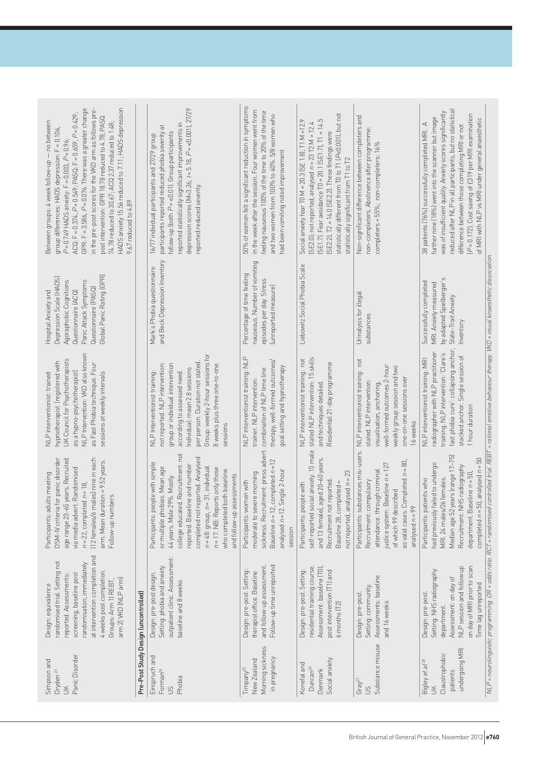| HADS anxiety 15.56 reduced to 7.11; HADS depression<br>GPR: F = 3.586, P = 0.076. There was a greater change<br>in the pre-post scores for the VKD arm as follows pre-<br>ACQ: F = $0.374$ , $P = 0.549$ ; PASQ: F = $0.659$ , $P = 0.429$ ;<br>post intervention: GPR 18.78 reduced to 4.78; PASQ<br>Between groups: 4 week follow-up - no between<br>74.78 reduced to 30.67; ACQ 2.37 reduced to 1.48;<br>group differences: HADS depression: F = 0.106,<br>$P = 0.749$ HADS anxiety: F = 0.003, $P = 0.96$ ;<br>9.67 reduced to 4.89 |                                      | depression scores (M=3.26; $t = 5.18$ , $P = 0.001$ ), $27/29$<br>reported statistically significant improvements in<br>participants reported reduced phobia severity at<br>follow-up (both $P = \langle 0.01 \rangle$ . Group participants<br>16/17 individual participants and 27/29 group<br>reported reduced severity.                                    | 50% of women felt a significant reduction in symptoms<br>in the week after the session. Four women went from<br>feeling nauseous 100% of the time to 20% of the time<br>and two women from 100% to 40%. 5/8 women who<br>had been vomiting noted improvement | statistically different from T0 to T1 (P<0.001), but not<br>(SE1.7). Fear avoidance T0 = 20.1 (SE1.7), T1 = 14.5<br>Social anxiety fear T0 M = 20.3 (SE 1.8); T1 M = 12.9<br>$(SE2.0)$ ; not reported, analysed $n = 23$ T2 M = 12.4<br>(SE2.2), T2 = 14.0 (SE2.2). These findings were<br>statistically significant from T1 to T2 | Non-significant difference between completers and<br>non-completers. Abstinence after programme:<br>completers = 55%; non-completers: 16%                                                                                  | reduced after NLP in all participants, but no statistical<br>was of insufficient quality. Anxiety scores significantly<br>(P = 0.172). Cost saving of £319 per MRI examination<br>further nine (18%) went into the scanner but image<br>of MRI with NLP vs MRI under general anaesthetic<br>38 patients (76%) successfully completed MRI. A<br>difference between those completing MRI or not                           |
|-----------------------------------------------------------------------------------------------------------------------------------------------------------------------------------------------------------------------------------------------------------------------------------------------------------------------------------------------------------------------------------------------------------------------------------------------------------------------------------------------------------------------------------------|--------------------------------------|---------------------------------------------------------------------------------------------------------------------------------------------------------------------------------------------------------------------------------------------------------------------------------------------------------------------------------------------------------------|--------------------------------------------------------------------------------------------------------------------------------------------------------------------------------------------------------------------------------------------------------------|------------------------------------------------------------------------------------------------------------------------------------------------------------------------------------------------------------------------------------------------------------------------------------------------------------------------------------|----------------------------------------------------------------------------------------------------------------------------------------------------------------------------------------------------------------------------|-------------------------------------------------------------------------------------------------------------------------------------------------------------------------------------------------------------------------------------------------------------------------------------------------------------------------------------------------------------------------------------------------------------------------|
| Global Panic Rating (GPR)<br>Depression Scale (HADS)<br>Panic Attack Symptoms<br>Agoraphobic Cognitions<br>Questionnaire (PASQ)<br>Hospital Anxiety and<br>Questionnaire (ACQ)                                                                                                                                                                                                                                                                                                                                                          |                                      | and Beck Depression Inventory<br>Mark's Phobia questionnaire                                                                                                                                                                                                                                                                                                  | nauseous. Number of vomiting<br>Percentage of time feeling<br>episodes per day. Stress<br>(unreported measure)                                                                                                                                               | Liebowitz Social Phobia Scale                                                                                                                                                                                                                                                                                                      | Urinalysis for illegal<br>substances                                                                                                                                                                                       | by adapted Spielberger's<br>Successfully completed<br>MRI. Anxiety measured<br>State-Trait Anxiety<br>Inventory                                                                                                                                                                                                                                                                                                         |
| NLP Intervention: VKD also known<br>UK Council for Psychotherapists<br>hypnotherapist (registered with<br>as Fast Phobia technique. Four<br>as a hypno-psychotherapist)<br>sessions at weekly intervals<br>NLP interventionist: trained                                                                                                                                                                                                                                                                                                 |                                      | for<br>Group: weekly 2-hour sessions<br>per person. Duration not stated.<br>not reported. NLP intervention:<br>group or individual intervention<br>8 weeks plus three one-to-one<br>Individual: mean 2.8 sessions<br>according to assessed need.<br>NLP Interventionist training:<br>sessions                                                                 | NLP interventionist training: NLP<br>therapy, well-formed outcomes/<br>goal setting and hypnotherapy<br>combination of NLP time line<br>trainer. NLP intervention:                                                                                           | stated NLP intervention: 15 skills<br>NLP interventionist training: not<br>Residential 21-day programme<br>and techniques detailed                                                                                                                                                                                                 | not<br>weekly group session and two<br>well-formed outcomes 2-hour<br>NLP interventionist training:<br>one-on-one sessions over<br>stated. NLP intervention:<br>visualisation, anchoring,<br>16 weeks                      | fast phobia cure': collapsing anchor<br>radiographer with NLP practitioner<br>training. NLP intervention: 'Clare's<br>stacked anchor. Single session of<br>NLP interventionist training: MRI<br>1 hour duration                                                                                                                                                                                                         |
| (12 females/6 males) nine in each<br>DSM-IV criteria for panic disorder<br>age range 23-65 years. Recruited<br>arm. Mean duration = 9.52 years.<br>Randomised<br>Participants: adults meeting<br>$n = 22$ , completed $n = 18$ ,<br>Follow-up numbers<br>via media advert.                                                                                                                                                                                                                                                              |                                      | . Recruitment: not<br>completed not reported. Analysed<br>Participants: people with simple<br>reported. Baseline and number<br>or multiple phobias. Mean age<br>31, individual<br>$n = 17$ . NB: Reports only those<br>who completed both baseline<br>and follow-up assessments<br>44 years. Male 29%. Mostly<br>college educated.<br>$n = 48$ : group, $n =$ | sickness. Recruitment: press advert.<br>Baseline $n = 12$ , completed $n = 12$<br>analysed $n = 12$ . Single 2-hour<br>moderate to severe morning<br>Participants: women with<br>session                                                                     | self-reported social anxiety. 15 male<br>and 13 female), aged 20-60 years.<br>not reported, analysed $n = 23$<br>Recruitment not reported.<br>Baseline 28, completed =<br>Participants: people with                                                                                                                                | Participants: substances mis-users.<br>as valid cases. Completed $n = 80$ ,<br>justice system. Baseline $n = 127$<br>attendance. through criminal<br>Recruitment: compulsory<br>of which 99 described<br>analysed $n = 99$ | NLP = neurolinguistic programming. OR = odds ratio. RCT = randomised controlled trial. REBT = rational emotive behaviour therapy. VKD = visual kinaesthetic dissociation<br>Median age 52 years (range 17–75)<br>completed $n = 50$ , analysed $n = 50$<br>had previously failed to undergo<br>Recruitment: NHS radiography<br>department. Baseline $n = 50$<br>MRI. 24 males/26 females.<br>Participants: patients who |
| at intervention completion and<br>randomised trial. Setting not<br>randomisation, immediately<br>4 weeks post completion.<br>screening, baseline post<br>reported. Assessments.<br>arm 2) VKD (NLP arm)<br>Groups: Arm 1) REBT,<br>Design: equivalence                                                                                                                                                                                                                                                                                  | Pre-Post Study Design (uncontrolled) | outpatient clinic. Assessment:<br>Setting: phobia and anxiety<br>Design: pre-post design.<br>baseline and 8 weeks                                                                                                                                                                                                                                             | Follow-up time unreported<br>and follow-up assessment<br>Design: pre-post. Setting:<br>therapist office. Baseline                                                                                                                                            | Assessment: baseline [T0],<br>residential training course.<br>Design: pre-post. Setting:<br>post intervention [T1] and<br>$6$ months $[T2]$                                                                                                                                                                                        | Assessments: baseline<br>Setting: community.<br>Design: pre-post.<br>and 16 weeks                                                                                                                                          | on day of MRI prior to scan.<br>NLP session and follow up<br>Setting: NHS radiography<br>Assessment: on day of<br>Time lag unreported<br>Design: pre-post.<br>department.                                                                                                                                                                                                                                               |
| Panic Disorder<br>Simpson and<br>Dryden <sup>23</sup><br>$\leq$                                                                                                                                                                                                                                                                                                                                                                                                                                                                         |                                      | Einspruch and<br>Forman <sup>24</sup><br>Phobia<br>$\mathfrak{S}$                                                                                                                                                                                                                                                                                             | Morning sickness<br>in pregnancy<br>New Zealand<br>Timpany <sup>25</sup>                                                                                                                                                                                     | Social anxiety<br>Konefal and<br>Duncan <sup>26</sup><br>Denmark                                                                                                                                                                                                                                                                   | Substance misuse<br>Gray <sup>27</sup><br>50                                                                                                                                                                               | undergoing MRI<br>Claustrophobic<br>Bigley et al <sup>28</sup><br>patients<br>$\leq$                                                                                                                                                                                                                                                                                                                                    |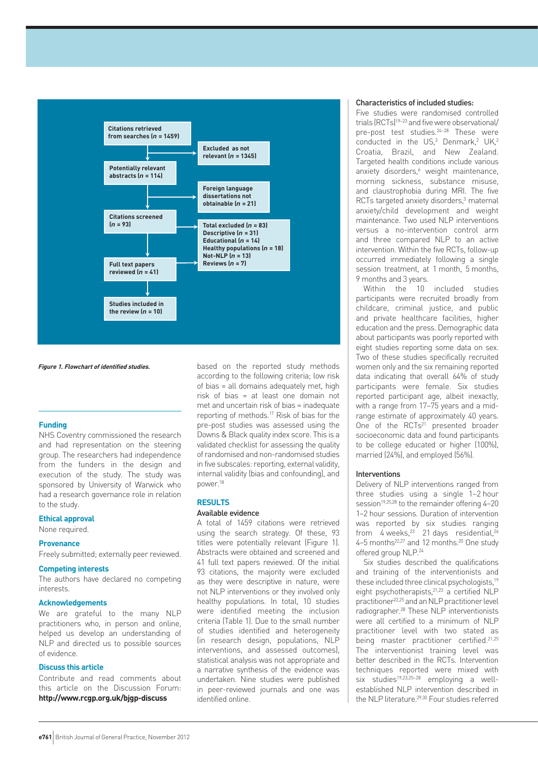

**Figure 1. Flowchart of identified studies.**

# **Funding**

NHS Coventry commissioned the research and had representation on the steering group. The researchers had independence from the funders in the design and execution of the study. The study was sponsored by University of Warwick who had a research governance role in relation to the study.

# **Ethical approval**

None required.

#### **Provenance**

Freely submitted; externally peer reviewed.

# **Competing interests**

The authors have declared no competing interests.

# **Acknowledgements**

We are grateful to the many NLP practitioners who, in person and online, helped us develop an understanding of NLP and directed us to possible sources of evidence.

# **Discuss this article**

Contribute and read comments about this article on the Discussion Forum: **http://www.rcgp.org.uk/bjgp-discuss**

based on the reported study methods according to the following criteria; low risk of bias = all domains adequately met, high risk of bias = at least one domain not met and uncertain risk of bias = inadequate reporting of methods.17 Risk of bias for the pre-post studies was assessed using the Downs & Black quality index score. This is a validated checklist for assessing the quality of randomised and non-randomised studies in five subscales: reporting, external validity, internal validity (bias and confounding), and power.18

# **RESULTS**

### Available evidence

A total of 1459 citations were retrieved using the search strategy. Of these, 93 titles were potentially relevant (Figure 1). Abstracts were obtained and screened and 41 full text papers reviewed. Of the initial 93 citations, the majority were excluded as they were descriptive in nature, were not NLP interventions or they involved only healthy populations. In total, 10 studies were identified meeting the inclusion criteria (Table 1). Due to the small number of studies identified and heterogeneity (in research design, populations, NLP interventions, and assessed outcomes), statistical analysis was not appropriate and a narrative synthesis of the evidence was undertaken. Nine studies were published in peer-reviewed journals and one was identified online.

# Characteristics of included studies:

Five studies were randomised controlled trials (RCTs)19–23 and five were observational/ pre-post test studies.24–28 These were conducted in the US, $3$  Denmark, $2$  UK, $2$ Croatia, Brazil, and New Zealand. Targeted health conditions include various anxiety disorders,<sup>6</sup> weight maintenance, morning sickness, substance misuse, and claustrophobia during MRI. The five RCTs targeted anxiety disorders,<sup>3</sup> maternal anxiety/child development and weight maintenance. Two used NLP interventions versus a no-intervention control arm and three compared NLP to an active intervention. Within the five RCTs, follow-up occurred immediately following a single session treatment, at 1 month, 5 months, 9 months and 3 years.

Within the 10 included studies participants were recruited broadly from childcare, criminal justice, and public and private healthcare facilities, higher education and the press. Demographic data about participants was poorly reported with eight studies reporting some data on sex. Two of these studies specifically recruited women only and the six remaining reported data indicating that overall 64% of study participants were female. Six studies reported participant age, albeit inexactly, with a range from 17–75 years and a midrange estimate of approximately 40 years. One of the RCTs<sup>21</sup> presented broader socioeconomic data and found participants to be college educated or higher (100%), married (24%), and employed (56%).

### Interventions

Delivery of NLP interventions ranged from three studies using a single 1–2 hour session<sup>19,25,28</sup> to the remainder offering 4-20 1–2 hour sessions. Duration of intervention was reported by six studies ranging from  $4$  weeks,<sup>23</sup> 21 days residential,<sup>26</sup> 4–5 months22,27 and 12 months.20 One study offered group NLP.24

Six studies described the qualifications and training of the interventionists and these included three clinical psychologists,19 eight psychotherapists,<sup>21,23</sup> a certified NLP practitioner22,25 and an NLP practitioner level radiographer<sup>28</sup> These NLP interventionists were all certified to a minimum of NLP practitioner level with two stated as being master practitioner certified.21,25 The interventionist training level was better described in the RCTs. Intervention techniques reported were mixed with six studies19,23,25–28 employing a wellestablished NLP intervention described in the NLP literature<sup>29,30</sup> Four studies referred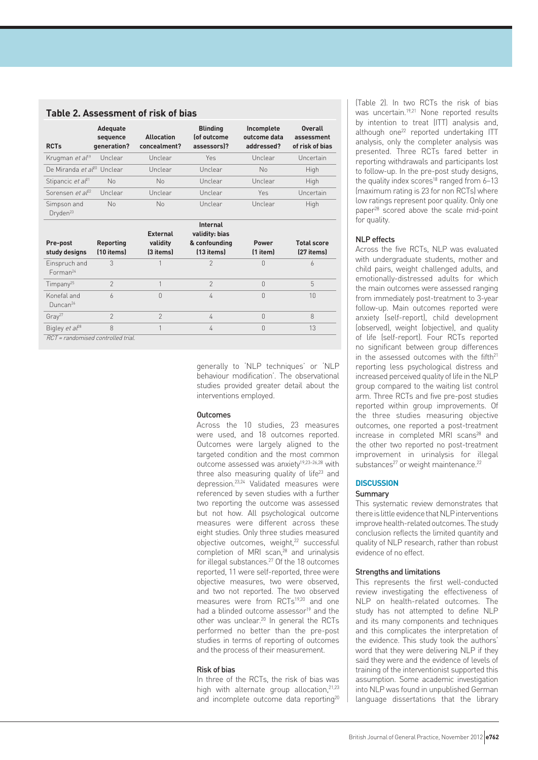|                                        |                                            | <b>Table 2. Assessment of risk of bias</b> |                                                                  |                                          |                                                 |
|----------------------------------------|--------------------------------------------|--------------------------------------------|------------------------------------------------------------------|------------------------------------------|-------------------------------------------------|
| <b>RCTs</b>                            | <b>Adequate</b><br>sequence<br>generation? | <b>Allocation</b><br>concealment?          | <b>Blinding</b><br>lof outcome<br>assessors)?                    | Incomplete<br>outcome data<br>addressed? | <b>Overall</b><br>assessment<br>of risk of bias |
| Krugman et al <sup>19</sup>            | Unclear                                    | Unclear                                    | <b>Yes</b>                                                       | Unclear                                  | Uncertain                                       |
| De Miranda et al <sup>20</sup> Unclear |                                            | Unclear                                    | Unclear                                                          | No                                       | High                                            |
| Stipancic et al <sup>21</sup>          | No                                         | No                                         | Unclear                                                          | Unclear                                  | <b>High</b>                                     |
| Sorensen et $a^{22}$                   | Unclear                                    | Unclear                                    | Unclear                                                          | <b>Yes</b>                               | Uncertain                                       |
| Simpson and<br>Dryden <sup>23</sup>    | No                                         | No                                         | Unclear                                                          | Unclear                                  | High                                            |
| Pre-post<br>study designs              | <b>Reporting</b><br>(10 items)             | <b>External</b><br>validity<br>(3 items)   | <b>Internal</b><br>validity: bias<br>& confounding<br>(13 items) | <b>Power</b><br>$(1$ item $)$            | <b>Total score</b><br>(27 items)                |
| Einspruch and<br>Forman <sup>24</sup>  | 3                                          | 1                                          | $\mathcal{P}$                                                    | $\Omega$                                 | 6                                               |
| Timpany <sup>25</sup>                  | $\mathfrak{D}$                             | 1                                          | $\mathfrak{D}$                                                   | $\Omega$                                 | 5                                               |
| Konefal and<br>Duncan $26$             | $\overline{a}$                             | $\cap$                                     | 4                                                                | $\cap$                                   | 10                                              |
| Gray <sup>27</sup>                     | $\mathfrak{D}$                             | $\mathcal{P}$                              | 4                                                                | $\bigcap$                                | $\mathcal{B}$                                   |
| Bigley et al <sup>28</sup>             | 8                                          | 1                                          | 4                                                                | $\Omega$                                 | 13                                              |
| RCT = randomised controlled trial.     |                                            |                                            |                                                                  |                                          |                                                 |

generally to 'NLP techniques' or 'NLP behaviour modification'. The observational studies provided greater detail about the interventions employed.

# **Outcomes**

Across the 10 studies, 23 measures were used, and 18 outcomes reported. Outcomes were largely aligned to the targeted condition and the most common outcome assessed was anxiety19,23–26,28 with three also measuring quality of life $23$  and depression.23,24 Validated measures were referenced by seven studies with a further two reporting the outcome was assessed but not how. All psychological outcome measures were different across these eight studies. Only three studies measured objective outcomes, weight,<sup>22</sup> successful completion of MRI scan,<sup>28</sup> and urinalysis for illegal substances.27 Of the 18 outcomes reported, 11 were self-reported, three were objective measures, two were observed, and two not reported. The two observed measures were from RCTs<sup>19,20</sup> and one had a blinded outcome assessor $19$  and the other was unclear.20 In general the RCTs performed no better than the pre-post studies in terms of reporting of outcomes and the process of their measurement.

# Risk of bias

In three of the RCTs, the risk of bias was high with alternate group allocation.<sup>21,23</sup> and incomplete outcome data reporting<sup>20</sup> (Table 2). In two RCTs the risk of bias was uncertain.<sup>19,21</sup> None reported results by intention to treat (ITT) analysis and, although one<sup>22</sup> reported undertaking ITT analysis, only the completer analysis was presented. Three RCTs fared better in reporting withdrawals and participants lost to follow-up. In the pre-post study designs, the quality index scores<sup>18</sup> ranged from  $6-13$ (maximum rating is 23 for non RCTs) where low ratings represent poor quality. Only one paper28 scored above the scale mid-point for quality.

# NLP effects

Across the five RCTs, NLP was evaluated with undergraduate students, mother and child pairs, weight challenged adults, and emotionally-distressed adults for which the main outcomes were assessed ranging from immediately post-treatment to 3-year follow-up. Main outcomes reported were anxiety (self-report), child development (observed), weight (objective), and quality of life (self-report). Four RCTs reported no significant between group differences in the assessed outcomes with the fifth<sup>21</sup> reporting less psychological distress and increased perceived quality of life in the NLP group compared to the waiting list control arm. Three RCTs and five pre-post studies reported within group improvements. Of the three studies measuring objective outcomes, one reported a post-treatment increase in completed MRI scans<sup>28</sup> and the other two reported no post-treatment improvement in urinalysis for illegal substances<sup>27</sup> or weight maintenance.<sup>22</sup>

# **DISCUSSION**

### Summary

This systematic review demonstrates that there is little evidence that NLP interventions improve health-related outcomes. The study conclusion reflects the limited quantity and quality of NLP research, rather than robust evidence of no effect.

#### Strengths and limitations

This represents the first well-conducted review investigating the effectiveness of NLP on health-related outcomes. The study has not attempted to define NLP and its many components and techniques and this complicates the interpretation of the evidence. This study took the authors' word that they were delivering NLP if they said they were and the evidence of levels of training of the interventionist supported this assumption. Some academic investigation into NLP was found in unpublished German language dissertations that the library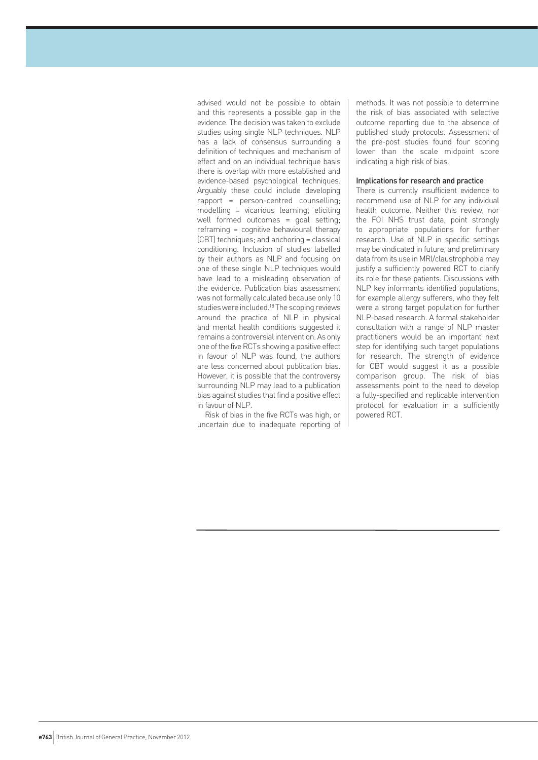advised would not be possible to obtain and this represents a possible gap in the evidence. The decision was taken to exclude studies using single NLP techniques. NLP has a lack of consensus surrounding a definition of techniques and mechanism of effect and on an individual technique basis there is overlap with more established and evidence-based psychological techniques. Arguably these could include developing rapport = person-centred counselling; modelling = vicarious learning; eliciting well formed outcomes = goal setting; reframing = cognitive behavioural therapy (CBT) techniques; and anchoring = classical conditioning. Inclusion of studies labelled by their authors as NLP and focusing on one of these single NLP techniques would have lead to a misleading observation of the evidence. Publication bias assessment was not formally calculated because only 10 studies were included.18 The scoping reviews around the practice of NLP in physical and mental health conditions suggested it remains a controversial intervention. As only one of the five RCTs showing a positive effect in favour of NLP was found, the authors are less concerned about publication bias. However, it is possible that the controversy surrounding NLP may lead to a publication bias against studies that find a positive effect in favour of NLP.

Risk of bias in the five RCTs was high, or uncertain due to inadequate reporting of methods. It was not possible to determine the risk of bias associated with selective outcome reporting due to the absence of published study protocols. Assessment of the pre-post studies found four scoring lower than the scale midpoint score indicating a high risk of bias.

## Implications for research and practice

There is currently insufficient evidence to recommend use of NLP for any individual health outcome. Neither this review, nor the FOI NHS trust data, point strongly to appropriate populations for further research. Use of NLP in specific settings may be vindicated in future, and preliminary data from its use in MRI/claustrophobia may justify a sufficiently powered RCT to clarify its role for these patients. Discussions with NLP key informants identified populations, for example allergy sufferers, who they felt were a strong target population for further NLP-based research. A formal stakeholder consultation with a range of NLP master practitioners would be an important next step for identifying such target populations for research. The strength of evidence for CBT would suggest it as a possible comparison group. The risk of bias assessments point to the need to develop a fully-specified and replicable intervention protocol for evaluation in a sufficiently powered RCT.